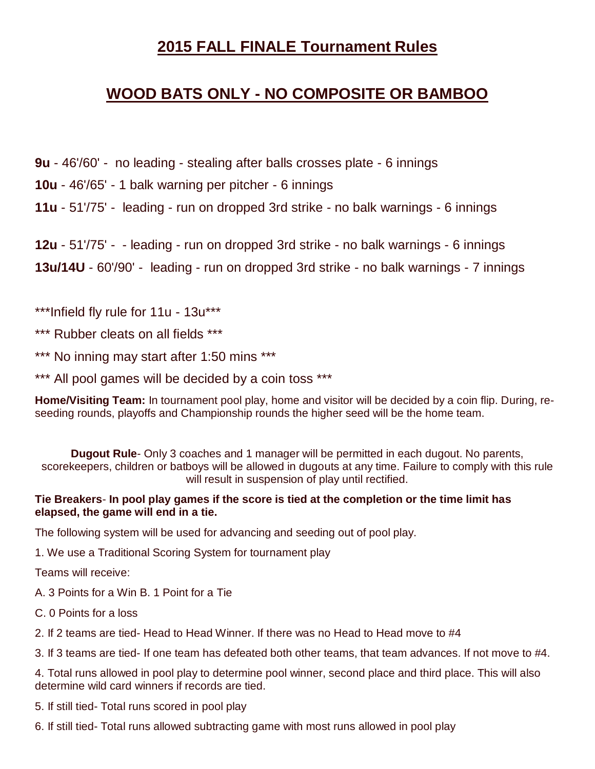# **2015 FALL FINALE Tournament Rules**

# **WOOD BATS ONLY - NO COMPOSITE OR BAMBOO**

**9u** - 46'/60' - no leading - stealing after balls crosses plate - 6 innings

**10u** - 46'/65' - 1 balk warning per pitcher - 6 innings

**11u** - 51'/75' - leading - run on dropped 3rd strike - no balk warnings - 6 innings

**12u** - 51'/75' - - leading - run on dropped 3rd strike - no balk warnings - 6 innings **13u/14U** - 60'/90' - leading - run on dropped 3rd strike - no balk warnings - 7 innings

\*\*\*Infield fly rule for 11u - 13u\*\*\*

\*\*\* Rubber cleats on all fields \*\*\*

\*\*\* No inning may start after 1:50 mins \*\*\*

\*\*\* All pool games will be decided by a coin toss \*\*\*

**Home/Visiting Team:** In tournament pool play, home and visitor will be decided by a coin flip. During, reseeding rounds, playoffs and Championship rounds the higher seed will be the home team.

**Dugout Rule**- Only 3 coaches and 1 manager will be permitted in each dugout. No parents, scorekeepers, children or batboys will be allowed in dugouts at any time. Failure to comply with this rule will result in suspension of play until rectified.

### **Tie Breakers**- **In pool play games if the score is tied at the completion or the time limit has elapsed, the game will end in a tie.**

The following system will be used for advancing and seeding out of pool play.

1. We use a Traditional Scoring System for tournament play

Teams will receive:

A. 3 Points for a Win B. 1 Point for a Tie

C. 0 Points for a loss

2. If 2 teams are tied- Head to Head Winner. If there was no Head to Head move to #4

3. If 3 teams are tied- If one team has defeated both other teams, that team advances. If not move to #4.

4. Total runs allowed in pool play to determine pool winner, second place and third place. This will also determine wild card winners if records are tied.

5. If still tied- Total runs scored in pool play

6. If still tied- Total runs allowed subtracting game with most runs allowed in pool play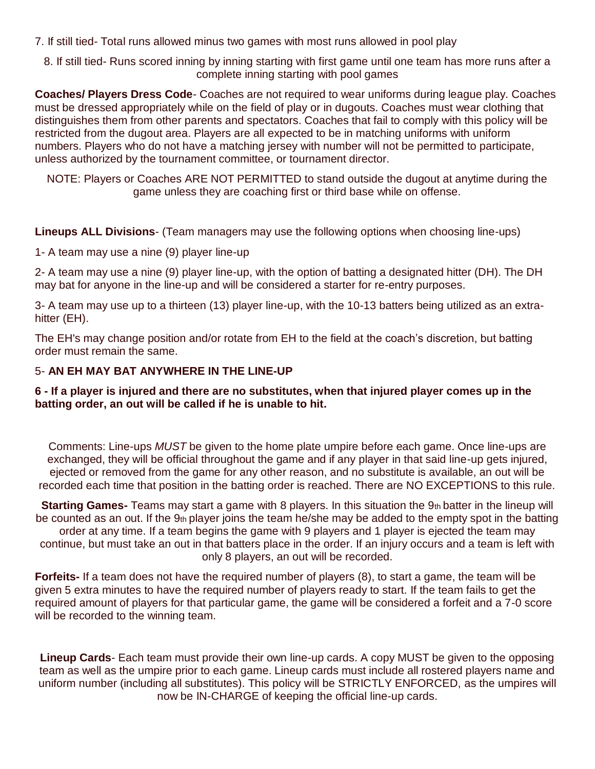7. If still tied- Total runs allowed minus two games with most runs allowed in pool play

8. If still tied- Runs scored inning by inning starting with first game until one team has more runs after a complete inning starting with pool games

**Coaches/ Players Dress Code**- Coaches are not required to wear uniforms during league play. Coaches must be dressed appropriately while on the field of play or in dugouts. Coaches must wear clothing that distinguishes them from other parents and spectators. Coaches that fail to comply with this policy will be restricted from the dugout area. Players are all expected to be in matching uniforms with uniform numbers. Players who do not have a matching jersey with number will not be permitted to participate, unless authorized by the tournament committee, or tournament director.

NOTE: Players or Coaches ARE NOT PERMITTED to stand outside the dugout at anytime during the game unless they are coaching first or third base while on offense.

**Lineups ALL Divisions**- (Team managers may use the following options when choosing line-ups)

1- A team may use a nine (9) player line-up

2- A team may use a nine (9) player line-up, with the option of batting a designated hitter (DH). The DH may bat for anyone in the line-up and will be considered a starter for re-entry purposes.

3- A team may use up to a thirteen (13) player line-up, with the 10-13 batters being utilized as an extrahitter (EH).

The EH's may change position and/or rotate from EH to the field at the coach's discretion, but batting order must remain the same.

### 5- **AN EH MAY BAT ANYWHERE IN THE LINE-UP**

### **6 - If a player is injured and there are no substitutes, when that injured player comes up in the batting order, an out will be called if he is unable to hit.**

Comments: Line-ups *MUST* be given to the home plate umpire before each game. Once line-ups are exchanged, they will be official throughout the game and if any player in that said line-up gets injured, ejected or removed from the game for any other reason, and no substitute is available, an out will be recorded each time that position in the batting order is reached. There are NO EXCEPTIONS to this rule.

**Starting Games-** Teams may start a game with 8 players. In this situation the 9th batter in the lineup will be counted as an out. If the 9th player joins the team he/she may be added to the empty spot in the batting order at any time. If a team begins the game with 9 players and 1 player is ejected the team may continue, but must take an out in that batters place in the order. If an injury occurs and a team is left with only 8 players, an out will be recorded.

**Forfeits-** If a team does not have the required number of players (8), to start a game, the team will be given 5 extra minutes to have the required number of players ready to start. If the team fails to get the required amount of players for that particular game, the game will be considered a forfeit and a 7-0 score will be recorded to the winning team.

**Lineup Cards**- Each team must provide their own line-up cards. A copy MUST be given to the opposing team as well as the umpire prior to each game. Lineup cards must include all rostered players name and uniform number (including all substitutes). This policy will be STRICTLY ENFORCED, as the umpires will now be IN-CHARGE of keeping the official line-up cards.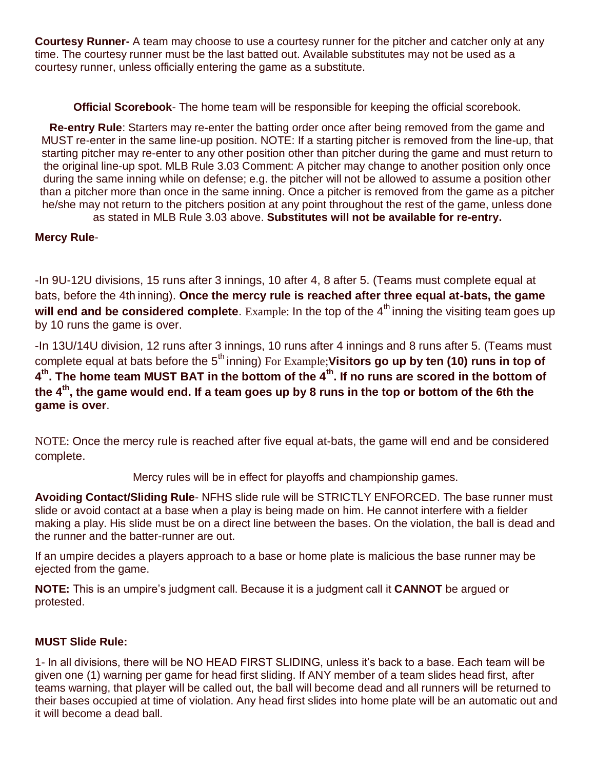**Courtesy Runner-** A team may choose to use a courtesy runner for the pitcher and catcher only at any time. The courtesy runner must be the last batted out. Available substitutes may not be used as a courtesy runner, unless officially entering the game as a substitute.

**Official Scorebook**- The home team will be responsible for keeping the official scorebook.

**Re-entry Rule**: Starters may re-enter the batting order once after being removed from the game and MUST re-enter in the same line-up position. NOTE: If a starting pitcher is removed from the line-up, that starting pitcher may re-enter to any other position other than pitcher during the game and must return to the original line-up spot. MLB Rule 3.03 Comment: A pitcher may change to another position only once during the same inning while on defense; e.g. the pitcher will not be allowed to assume a position other than a pitcher more than once in the same inning. Once a pitcher is removed from the game as a pitcher he/she may not return to the pitchers position at any point throughout the rest of the game, unless done

as stated in MLB Rule 3.03 above. **Substitutes will not be available for re-entry.**

## **Mercy Rule**-

-In 9U-12U divisions, 15 runs after 3 innings, 10 after 4, 8 after 5. (Teams must complete equal at bats, before the 4th inning). **Once the mercy rule is reached after three equal at-bats, the game will end and be considered complete**. Example: In the top of the 4<sup>th</sup> inning the visiting team goes up by 10 runs the game is over.

-In 13U/14U division, 12 runs after 3 innings, 10 runs after 4 innings and 8 runs after 5. (Teams must complete equal at bats before the 5<sup>th</sup> inning) For Example; **Visitors go up by ten (10) runs in top of 4 th. The home team MUST BAT in the bottom of the 4th. If no runs are scored in the bottom of the 4th, the game would end. If a team goes up by 8 runs in the top or bottom of the 6th the game is over**.

NOTE: Once the mercy rule is reached after five equal at-bats, the game will end and be considered complete.

Mercy rules will be in effect for playoffs and championship games.

**Avoiding Contact/Sliding Rule**- NFHS slide rule will be STRICTLY ENFORCED. The base runner must slide or avoid contact at a base when a play is being made on him. He cannot interfere with a fielder making a play. His slide must be on a direct line between the bases. On the violation, the ball is dead and the runner and the batter-runner are out.

If an umpire decides a players approach to a base or home plate is malicious the base runner may be ejected from the game.

**NOTE:** This is an umpire's judgment call. Because it is a judgment call it **CANNOT** be argued or protested.

#### **MUST Slide Rule:**

1- In all divisions, there will be NO HEAD FIRST SLIDING, unless it's back to a base. Each team will be given one (1) warning per game for head first sliding. If ANY member of a team slides head first, after teams warning, that player will be called out, the ball will become dead and all runners will be returned to their bases occupied at time of violation. Any head first slides into home plate will be an automatic out and it will become a dead ball.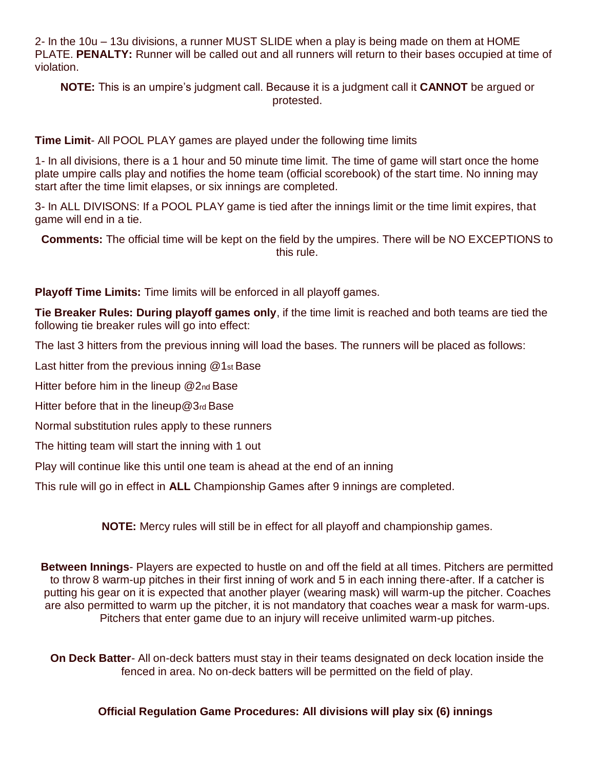2- In the 10u – 13u divisions, a runner MUST SLIDE when a play is being made on them at HOME PLATE. **PENALTY:** Runner will be called out and all runners will return to their bases occupied at time of violation.

**NOTE:** This is an umpire's judgment call. Because it is a judgment call it **CANNOT** be argued or protested.

**Time Limit**- All POOL PLAY games are played under the following time limits

1- In all divisions, there is a 1 hour and 50 minute time limit. The time of game will start once the home plate umpire calls play and notifies the home team (official scorebook) of the start time. No inning may start after the time limit elapses, or six innings are completed.

3- In ALL DIVISONS: If a POOL PLAY game is tied after the innings limit or the time limit expires, that game will end in a tie.

**Comments:** The official time will be kept on the field by the umpires. There will be NO EXCEPTIONS to this rule.

**Playoff Time Limits:** Time limits will be enforced in all playoff games.

**Tie Breaker Rules: During playoff games only**, if the time limit is reached and both teams are tied the following tie breaker rules will go into effect:

The last 3 hitters from the previous inning will load the bases. The runners will be placed as follows:

Last hitter from the previous inning @1st Base

Hitter before him in the lineup @2<sub>nd</sub> Base

Hitter before that in the lineup@3rd Base

Normal substitution rules apply to these runners

The hitting team will start the inning with 1 out

Play will continue like this until one team is ahead at the end of an inning

This rule will go in effect in **ALL** Championship Games after 9 innings are completed.

**NOTE:** Mercy rules will still be in effect for all playoff and championship games.

**Between Innings**- Players are expected to hustle on and off the field at all times. Pitchers are permitted to throw 8 warm-up pitches in their first inning of work and 5 in each inning there-after. If a catcher is putting his gear on it is expected that another player (wearing mask) will warm-up the pitcher. Coaches are also permitted to warm up the pitcher, it is not mandatory that coaches wear a mask for warm-ups. Pitchers that enter game due to an injury will receive unlimited warm-up pitches.

**On Deck Batter**- All on-deck batters must stay in their teams designated on deck location inside the fenced in area. No on-deck batters will be permitted on the field of play.

#### **Official Regulation Game Procedures: All divisions will play six (6) innings**